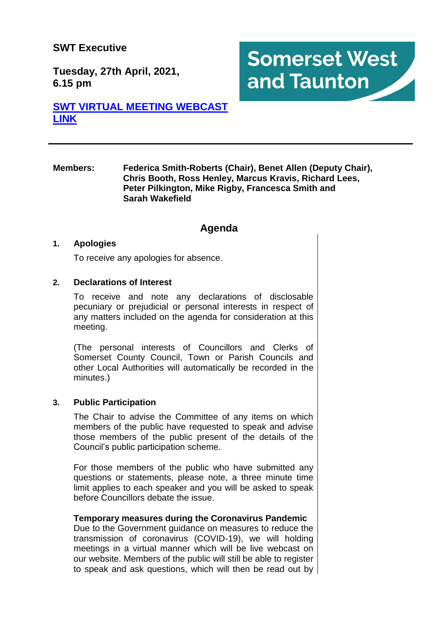# **SWT Executive**

**Tuesday, 27th April, 2021, 6.15 pm**

# **[SWT VIRTUAL MEETING WEBCAST](https://somersetwestandtaunton.public-i.tv/core/portal/home)  [LINK](https://somersetwestandtaunton.public-i.tv/core/portal/home)**

#### **Members: Federica Smith-Roberts (Chair), Benet Allen (Deputy Chair), Chris Booth, Ross Henley, Marcus Kravis, Richard Lees, Peter Pilkington, Mike Rigby, Francesca Smith and Sarah Wakefield**

**Somerset West** 

and Taunton

# **Agenda**

## **1. Apologies**

To receive any apologies for absence.

## **2. Declarations of Interest**

To receive and note any declarations of disclosable pecuniary or prejudicial or personal interests in respect of any matters included on the agenda for consideration at this meeting.

(The personal interests of Councillors and Clerks of Somerset County Council, Town or Parish Councils and other Local Authorities will automatically be recorded in the minutes.)

#### **3. Public Participation**

The Chair to advise the Committee of any items on which members of the public have requested to speak and advise those members of the public present of the details of the Council's public participation scheme.

For those members of the public who have submitted any questions or statements, please note, a three minute time limit applies to each speaker and you will be asked to speak before Councillors debate the issue.

#### **Temporary measures during the Coronavirus Pandemic**

Due to the Government guidance on measures to reduce the transmission of coronavirus (COVID-19), we will holding meetings in a virtual manner which will be live webcast on our website. Members of the public will still be able to register to speak and ask questions, which will then be read out by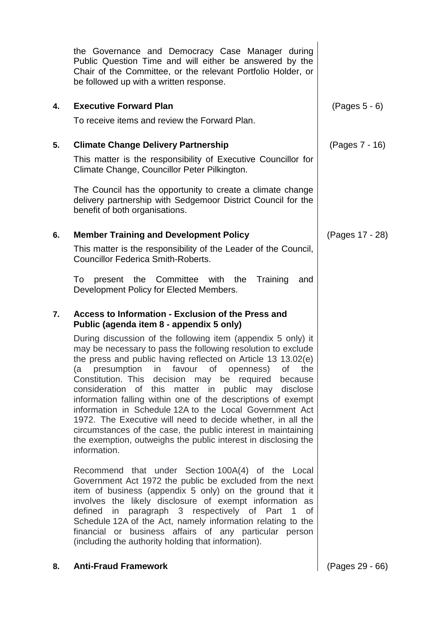|    | the Governance and Democracy Case Manager during<br>Public Question Time and will either be answered by the<br>Chair of the Committee, or the relevant Portfolio Holder, or<br>be followed up with a written response.                                                                                                                                                                                                                                                                                                                                                                                                                                                                                                                                                                                                                                                                                                                                                                                                                                                                                                                                                                                                                                                                   |                 |
|----|------------------------------------------------------------------------------------------------------------------------------------------------------------------------------------------------------------------------------------------------------------------------------------------------------------------------------------------------------------------------------------------------------------------------------------------------------------------------------------------------------------------------------------------------------------------------------------------------------------------------------------------------------------------------------------------------------------------------------------------------------------------------------------------------------------------------------------------------------------------------------------------------------------------------------------------------------------------------------------------------------------------------------------------------------------------------------------------------------------------------------------------------------------------------------------------------------------------------------------------------------------------------------------------|-----------------|
| 4. | <b>Executive Forward Plan</b><br>To receive items and review the Forward Plan.                                                                                                                                                                                                                                                                                                                                                                                                                                                                                                                                                                                                                                                                                                                                                                                                                                                                                                                                                                                                                                                                                                                                                                                                           | (Pages 5 - 6)   |
| 5. | <b>Climate Change Delivery Partnership</b><br>This matter is the responsibility of Executive Councillor for<br>Climate Change, Councillor Peter Pilkington.<br>The Council has the opportunity to create a climate change<br>delivery partnership with Sedgemoor District Council for the<br>benefit of both organisations.                                                                                                                                                                                                                                                                                                                                                                                                                                                                                                                                                                                                                                                                                                                                                                                                                                                                                                                                                              | (Pages 7 - 16)  |
| 6. | <b>Member Training and Development Policy</b><br>This matter is the responsibility of the Leader of the Council,<br><b>Councillor Federica Smith-Roberts.</b><br>present the Committee with<br>Training<br>To<br>the<br>and<br>Development Policy for Elected Members.                                                                                                                                                                                                                                                                                                                                                                                                                                                                                                                                                                                                                                                                                                                                                                                                                                                                                                                                                                                                                   | (Pages 17 - 28) |
| 7. | Access to Information - Exclusion of the Press and<br>Public (agenda item 8 - appendix 5 only)<br>During discussion of the following item (appendix 5 only) it<br>may be necessary to pass the following resolution to exclude<br>the press and public having reflected on Article 13 13.02(e)<br>(a presumption in favour of openness) of the<br>Constitution. This decision may be required because<br>consideration of this matter in public may disclose<br>information falling within one of the descriptions of exempt<br>information in Schedule 12A to the Local Government Act<br>1972. The Executive will need to decide whether, in all the<br>circumstances of the case, the public interest in maintaining<br>the exemption, outweighs the public interest in disclosing the<br>information.<br>Recommend that under Section 100A(4) of the Local<br>Government Act 1972 the public be excluded from the next<br>item of business (appendix 5 only) on the ground that it<br>involves the likely disclosure of exempt information as<br>defined in paragraph 3 respectively of Part 1<br>οf<br>Schedule 12A of the Act, namely information relating to the<br>financial or business affairs of any particular person<br>(including the authority holding that information). |                 |

# **8. Anti-Fraud Framework** (Pages 29 - 66)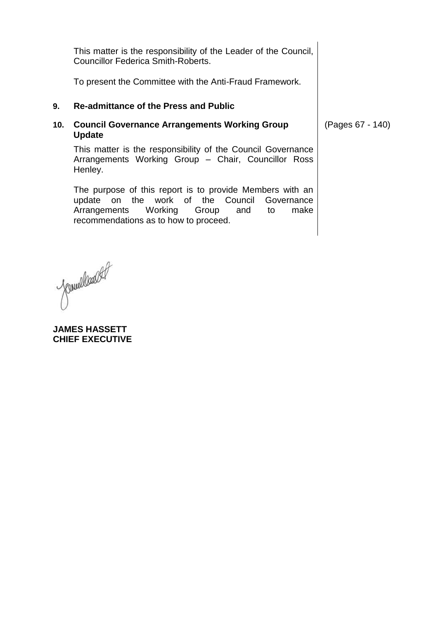This matter is the responsibility of the Leader of the Council, Councillor Federica Smith-Roberts.

To present the Committee with the Anti-Fraud Framework.

## **9. Re-admittance of the Press and Public**

## **10. Council Governance Arrangements Working Group Update**

This matter is the responsibility of the Council Governance Arrangements Working Group – Chair, Councillor Ross Henley.

The purpose of this report is to provide Members with an update on the work of the Council Governance Arrangements Working Group and to make recommendations as to how to proceed.

Cernellander

**JAMES HASSETT CHIEF EXECUTIVE** (Pages 67 - 140)